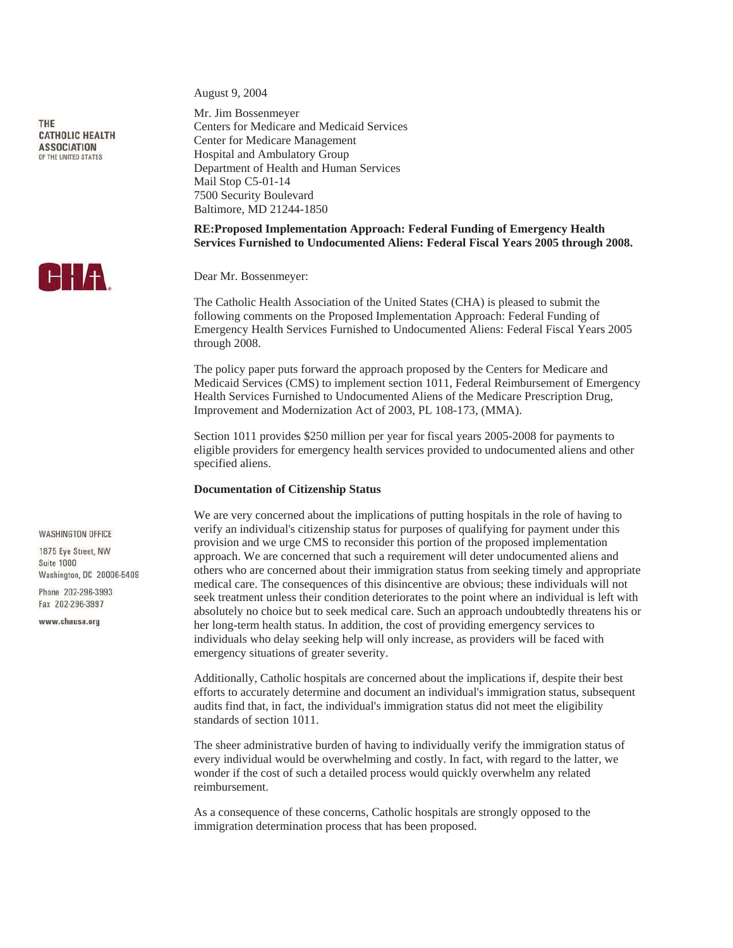THE **CATHOLIC HEALTH ASSOCIATION** OF THE UNITED STATES



**WASHINGTON OFFICE** 

1875 Eve Street NW Suite 1000 Washington, DC 20006-5409

Phone 202-296-3993 Fax 202-296-3997

www.chausa.org

August 9, 2004

Mr. Jim Bossenmeyer Centers for Medicare and Medicaid Services Center for Medicare Management Hospital and Ambulatory Group Department of Health and Human Services Mail Stop C5-01-14 7500 Security Boulevard Baltimore, MD 21244-1850

# **RE:Proposed Implementation Approach: Federal Funding of Emergency Health Services Furnished to Undocumented Aliens: Federal Fiscal Years 2005 through 2008.**

Dear Mr. Bossenmeyer:

The Catholic Health Association of the United States (CHA) is pleased to submit the following comments on the Proposed Implementation Approach: Federal Funding of Emergency Health Services Furnished to Undocumented Aliens: Federal Fiscal Years 2005 through 2008.

The policy paper puts forward the approach proposed by the Centers for Medicare and Medicaid Services (CMS) to implement section 1011, Federal Reimbursement of Emergency Health Services Furnished to Undocumented Aliens of the Medicare Prescription Drug, Improvement and Modernization Act of 2003, PL 108-173, (MMA).

Section 1011 provides \$250 million per year for fiscal years 2005-2008 for payments to eligible providers for emergency health services provided to undocumented aliens and other specified aliens.

## **Documentation of Citizenship Status**

We are very concerned about the implications of putting hospitals in the role of having to verify an individual's citizenship status for purposes of qualifying for payment under this provision and we urge CMS to reconsider this portion of the proposed implementation approach. We are concerned that such a requirement will deter undocumented aliens and others who are concerned about their immigration status from seeking timely and appropriate medical care. The consequences of this disincentive are obvious; these individuals will not seek treatment unless their condition deteriorates to the point where an individual is left with absolutely no choice but to seek medical care. Such an approach undoubtedly threatens his or her long-term health status. In addition, the cost of providing emergency services to individuals who delay seeking help will only increase, as providers will be faced with emergency situations of greater severity.

Additionally, Catholic hospitals are concerned about the implications if, despite their best efforts to accurately determine and document an individual's immigration status, subsequent audits find that, in fact, the individual's immigration status did not meet the eligibility standards of section 1011.

The sheer administrative burden of having to individually verify the immigration status of every individual would be overwhelming and costly. In fact, with regard to the latter, we wonder if the cost of such a detailed process would quickly overwhelm any related reimbursement.

As a consequence of these concerns, Catholic hospitals are strongly opposed to the immigration determination process that has been proposed.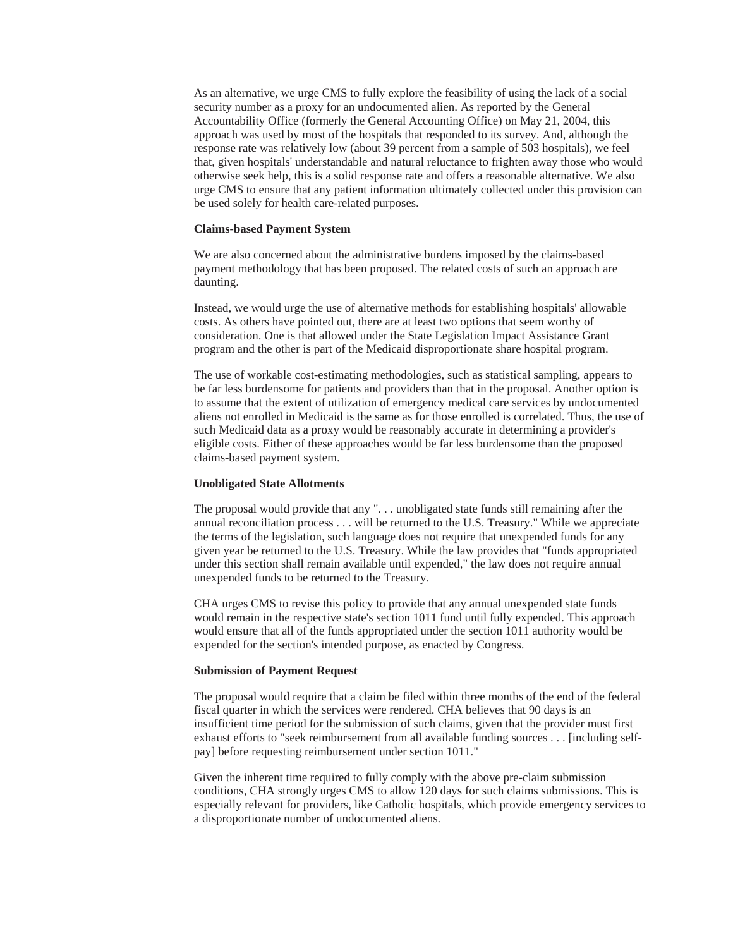As an alternative, we urge CMS to fully explore the feasibility of using the lack of a social security number as a proxy for an undocumented alien. As reported by the General Accountability Office (formerly the General Accounting Office) on May 21, 2004, this approach was used by most of the hospitals that responded to its survey. And, although the response rate was relatively low (about 39 percent from a sample of 503 hospitals), we feel that, given hospitals' understandable and natural reluctance to frighten away those who would otherwise seek help, this is a solid response rate and offers a reasonable alternative. We also urge CMS to ensure that any patient information ultimately collected under this provision can be used solely for health care-related purposes.

#### **Claims-based Payment System**

We are also concerned about the administrative burdens imposed by the claims-based payment methodology that has been proposed. The related costs of such an approach are daunting.

Instead, we would urge the use of alternative methods for establishing hospitals' allowable costs. As others have pointed out, there are at least two options that seem worthy of consideration. One is that allowed under the State Legislation Impact Assistance Grant program and the other is part of the Medicaid disproportionate share hospital program.

The use of workable cost-estimating methodologies, such as statistical sampling, appears to be far less burdensome for patients and providers than that in the proposal. Another option is to assume that the extent of utilization of emergency medical care services by undocumented aliens not enrolled in Medicaid is the same as for those enrolled is correlated. Thus, the use of such Medicaid data as a proxy would be reasonably accurate in determining a provider's eligible costs. Either of these approaches would be far less burdensome than the proposed claims-based payment system.

#### **Unobligated State Allotments**

The proposal would provide that any ". . . unobligated state funds still remaining after the annual reconciliation process . . . will be returned to the U.S. Treasury." While we appreciate the terms of the legislation, such language does not require that unexpended funds for any given year be returned to the U.S. Treasury. While the law provides that "funds appropriated under this section shall remain available until expended," the law does not require annual unexpended funds to be returned to the Treasury.

CHA urges CMS to revise this policy to provide that any annual unexpended state funds would remain in the respective state's section 1011 fund until fully expended. This approach would ensure that all of the funds appropriated under the section 1011 authority would be expended for the section's intended purpose, as enacted by Congress.

### **Submission of Payment Request**

The proposal would require that a claim be filed within three months of the end of the federal fiscal quarter in which the services were rendered. CHA believes that 90 days is an insufficient time period for the submission of such claims, given that the provider must first exhaust efforts to "seek reimbursement from all available funding sources . . . [including selfpay] before requesting reimbursement under section 1011."

Given the inherent time required to fully comply with the above pre-claim submission conditions, CHA strongly urges CMS to allow 120 days for such claims submissions. This is especially relevant for providers, like Catholic hospitals, which provide emergency services to a disproportionate number of undocumented aliens.